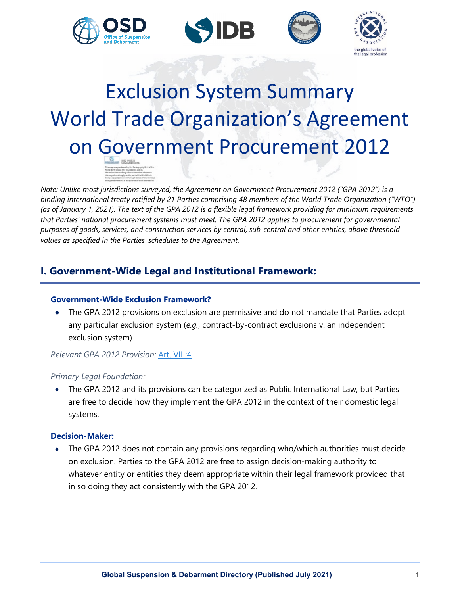







# Exclusion System Summary World Trade Organization's Agreement on Government Procurement 2012

*Note: Unlike most jurisdictions surveyed, the Agreement on Government Procurement 2012 ("GPA 2012") is a binding international treaty ratified by 21 Parties comprising 48 members of the World Trade Organization ("WTO") (as of January 1, 2021). The text of the GPA 2012 is a flexible legal framework providing for minimum requirements that Parties' national procurement systems must meet. The GPA 2012 applies to procurement for governmental purposes of goods, services, and construction services by central, sub-central and other entities, above threshold values as specified in the Parties' schedules to the Agreement.*

# **I. Government-Wide Legal and Institutional Framework:**

# **Government-Wide Exclusion Framework?**

• The GPA 2012 provisions on exclusion are permissive and do not mandate that Parties adopt any particular exclusion system (*e.g.*, contract-by-contract exclusions v. an independent exclusion system).

# *Relevant GPA 2012 Provision:* [Art. VIII:4](https://www.wto.org/english/docs_e/legal_e/rev-gpr-94_01_e.htm)

## *Primary Legal Foundation:*

• The GPA 2012 and its provisions can be categorized as Public International Law, but Parties are free to decide how they implement the GPA 2012 in the context of their domestic legal systems.

# **Decision-Maker:**

• The GPA 2012 does not contain any provisions regarding who/which authorities must decide on exclusion. Parties to the GPA 2012 are free to assign decision-making authority to whatever entity or entities they deem appropriate within their legal framework provided that in so doing they act consistently with the GPA 2012.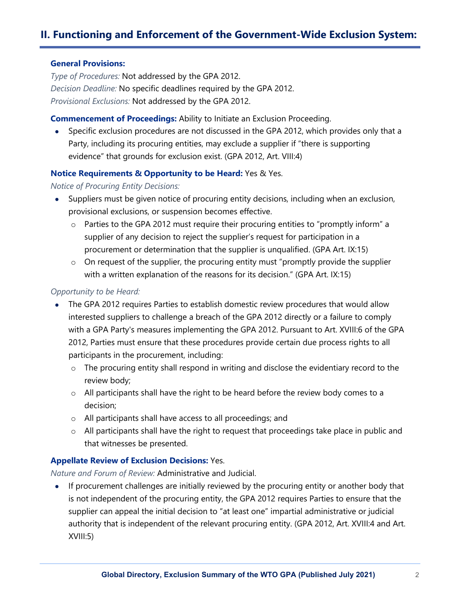# **II. Functioning and Enforcement of the Government-Wide Exclusion System:**

#### **General Provisions:**

*Type of Procedures:* Not addressed by the GPA 2012. *Decision Deadline:* No specific deadlines required by the GPA 2012. *Provisional Exclusions:* Not addressed by the GPA 2012.

#### **Commencement of Proceedings:** Ability to Initiate an Exclusion Proceeding.

• Specific exclusion procedures are not discussed in the GPA 2012, which provides only that a Party, including its procuring entities, may exclude a supplier if "there is supporting evidence" that grounds for exclusion exist. (GPA 2012, Art. VIII:4)

## **Notice Requirements & Opportunity to be Heard:** Yes & Yes.

#### *Notice of Procuring Entity Decisions:*

- Suppliers must be given notice of procuring entity decisions, including when an exclusion, provisional exclusions, or suspension becomes effective.
	- $\circ$  Parties to the GPA 2012 must require their procuring entities to "promptly inform" a supplier of any decision to reject the supplier's request for participation in a procurement or determination that the supplier is unqualified. (GPA Art. IX:15)
	- o On request of the supplier, the procuring entity must "promptly provide the supplier with a written explanation of the reasons for its decision." (GPA Art. IX:15)

## *Opportunity to be Heard:*

- The GPA 2012 requires Parties to establish domestic review procedures that would allow interested suppliers to challenge a breach of the GPA 2012 directly or a failure to comply with a GPA Party's measures implementing the GPA 2012. Pursuant to Art. XVIII:6 of the GPA 2012, Parties must ensure that these procedures provide certain due process rights to all participants in the procurement, including:
	- o The procuring entity shall respond in writing and disclose the evidentiary record to the review body;
	- o All participants shall have the right to be heard before the review body comes to a decision;
	- o All participants shall have access to all proceedings; and
	- $\circ$  All participants shall have the right to request that proceedings take place in public and that witnesses be presented.

## **Appellate Review of Exclusion Decisions:** Yes.

*Nature and Forum of Review:* Administrative and Judicial.

• If procurement challenges are initially reviewed by the procuring entity or another body that is not independent of the procuring entity, the GPA 2012 requires Parties to ensure that the supplier can appeal the initial decision to "at least one" impartial administrative or judicial authority that is independent of the relevant procuring entity. (GPA 2012, Art. XVIII:4 and Art. XVIII:5)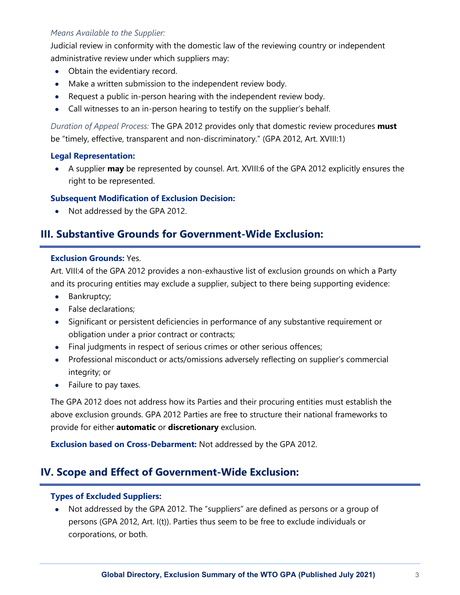# *Means Available to the Supplier:*

Judicial review in conformity with the domestic law of the reviewing country or independent administrative review under which suppliers may:

- Obtain the evidentiary record.
- Make a written submission to the independent review body.
- Request a public in-person hearing with the independent review body.
- Call witnesses to an in-person hearing to testify on the supplier's behalf.

*Duration of Appeal Process:* The GPA 2012 provides only that domestic review procedures **must** be "timely, effective, transparent and non-discriminatory." (GPA 2012, Art. XVIII:1)

## **Legal Representation:**

• A supplier **may** be represented by counsel. Art. XVIII:6 of the GPA 2012 explicitly ensures the right to be represented.

# **Subsequent Modification of Exclusion Decision:**

• Not addressed by the GPA 2012.

# **III. Substantive Grounds for Government-Wide Exclusion:**

## **Exclusion Grounds:** Yes.

Art. VIII:4 of the GPA 2012 provides a non-exhaustive list of exclusion grounds on which a Party and its procuring entities may exclude a supplier, subject to there being supporting evidence:

- Bankruptcy;
- False declarations;
- Significant or persistent deficiencies in performance of any substantive requirement or obligation under a prior contract or contracts;
- Final judgments in respect of serious crimes or other serious offences;
- Professional misconduct or acts/omissions adversely reflecting on supplier's commercial integrity; or
- Failure to pay taxes.

The GPA 2012 does not address how its Parties and their procuring entities must establish the above exclusion grounds. GPA 2012 Parties are free to structure their national frameworks to provide for either **automatic** or **discretionary** exclusion.

**Exclusion based on Cross-Debarment:** Not addressed by the GPA 2012.

# **IV. Scope and Effect of Government-Wide Exclusion:**

## **Types of Excluded Suppliers:**

• Not addressed by the GPA 2012. The "suppliers" are defined as persons or a group of persons (GPA 2012, Art. I(t)). Parties thus seem to be free to exclude individuals or corporations, or both.